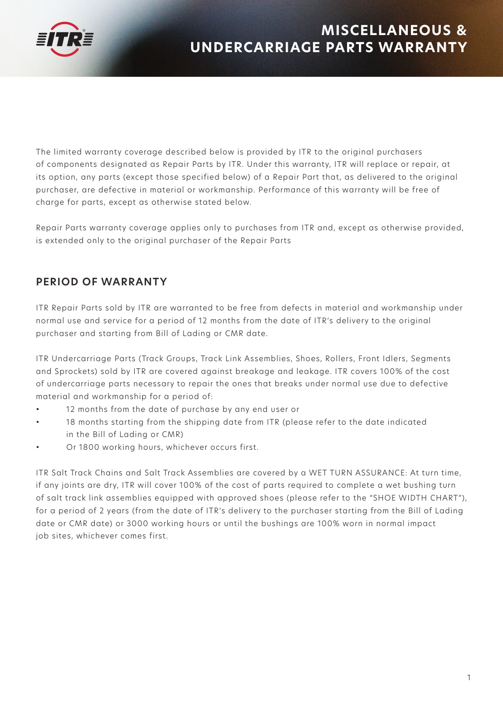

The limited warranty coverage described below is provided by ITR to the original purchasers of components designated as Repair Parts by ITR. Under this warranty, ITR will replace or repair, at its option, any parts (except those specified below) of a Repair Part that, as delivered to the original purchaser, are defective in material or workmanship. Performance of this warranty will be free of charge for parts, except as otherwise stated below.

Repair Parts warranty coverage applies only to purchases from ITR and, except as otherwise provided, is extended only to the original purchaser of the Repair Parts

# **PERIOD OF WARRANTY**

ITR Repair Parts sold by ITR are warranted to be free from defects in material and workmanship under normal use and service for a period of 12 months from the date of ITR's delivery to the original purchaser and starting from Bill of Lading or CMR date.

ITR Undercarriage Parts (Track Groups, Track Link Assemblies, Shoes, Rollers, Front Idlers, Segments and Sprockets) sold by ITR are covered against breakage and leakage. ITR covers 100% of the cost of undercarriage parts necessary to repair the ones that breaks under normal use due to defective material and workmanship for a period of:

- 12 months from the date of purchase by any end user or
- 18 months starting from the shipping date from ITR (please refer to the date indicated in the Bill of Lading or CMR)
- Or 1800 working hours, whichever occurs first.

ITR Salt Track Chains and Salt Track Assemblies are covered by a WET TURN ASSURANCE: At turn time, if any joints are dry, ITR will cover 100% of the cost of parts required to complete a wet bushing turn of salt track link assemblies equipped with approved shoes (please refer to the "SHOE WIDTH CHART"), for a period of 2 years (from the date of ITR's delivery to the purchaser starting from the Bill of Lading date or CMR date) or 3000 working hours or until the bushings are 100% worn in normal impact job sites, whichever comes first.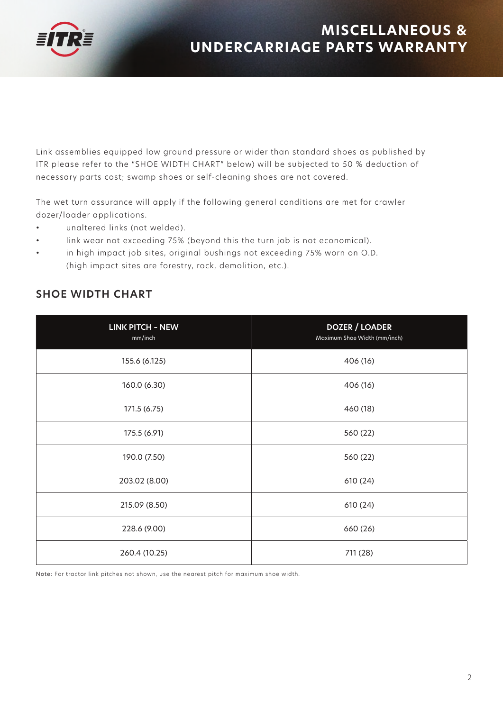

Link assemblies equipped low ground pressure or wider than standard shoes as published by ITR please refer to the "SHOE WIDTH CHART" below) will be subjected to 50 % deduction of necessary parts cost; swamp shoes or self-cleaning shoes are not covered.

The wet turn assurance will apply if the following general conditions are met for crawler dozer/loader applications.

- unaltered links (not welded).
- link wear not exceeding 75% (beyond this the turn job is not economical).
- in high impact job sites, original bushings not exceeding 75% worn on O.D. (high impact sites are forestry, rock, demolition, etc.).

| <b>LINK PITCH - NEW</b><br>mm/inch | <b>DOZER / LOADER</b><br>Maximum Shoe Width (mm/inch) |
|------------------------------------|-------------------------------------------------------|
| 155.6 (6.125)                      | 406 (16)                                              |
| 160.0 (6.30)                       | 406 (16)                                              |
| 171.5 (6.75)                       | 460 (18)                                              |
| 175.5 (6.91)                       | 560 (22)                                              |
| 190.0 (7.50)                       | 560 (22)                                              |
| 203.02 (8.00)                      | 610 (24)                                              |
| 215.09 (8.50)                      | 610 (24)                                              |
| 228.6 (9.00)                       | 660 (26)                                              |
| 260.4 (10.25)                      | 711 (28)                                              |

## **SHOE WIDTH CHART**

Note: For tractor link pitches not shown, use the nearest pitch for maximum shoe width.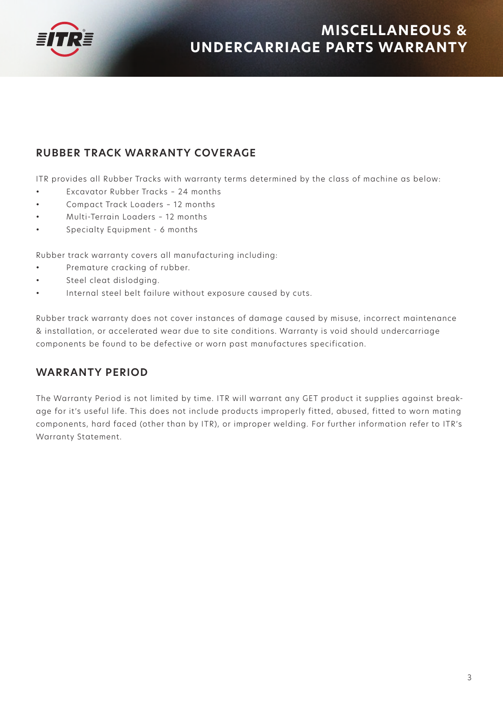

# **RUBBER TRACK WARRANTY COVERAGE**

ITR provides all Rubber Tracks with warranty terms determined by the class of machine as below:

- Excavator Rubber Tracks 24 months
- Compact Track Loaders 12 months
- Multi-Terrain Loaders 12 months
- Specialty Equipment 6 months

Rubber track warranty covers all manufacturing including:

- Premature cracking of rubber.
- Steel cleat dislodging.
- Internal steel belt failure without exposure caused by cuts.

Rubber track warranty does not cover instances of damage caused by misuse, incorrect maintenance & installation, or accelerated wear due to site conditions. Warranty is void should undercarriage components be found to be defective or worn past manufactures specification.

## **WARRANTY PERIOD**

The Warranty Period is not limited by time. ITR will warrant any GET product it supplies against breakage for it's useful life. This does not include products improperly fitted, abused, fitted to worn mating components, hard faced (other than by ITR), or improper welding. For further information refer to ITR's Warranty Statement.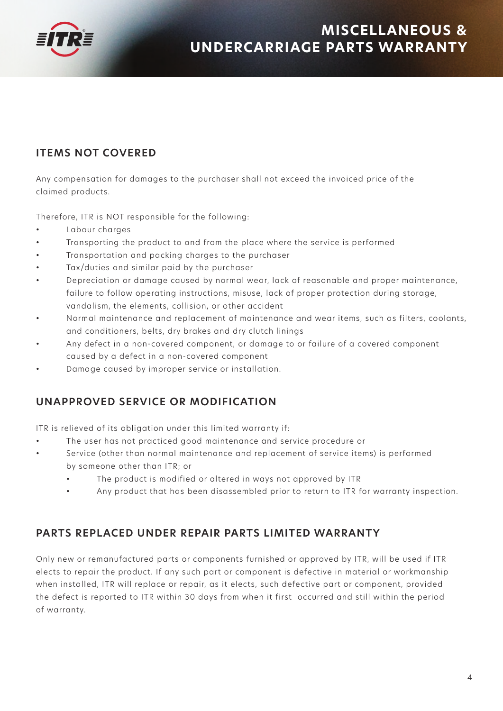

# **ITEMS NOT COVERED**

Any compensation for damages to the purchaser shall not exceed the invoiced price of the claimed products.

Therefore, ITR is NOT responsible for the following:

- Labour charges
- Transporting the product to and from the place where the service is performed
- Transportation and packing charges to the purchaser
- Tax/duties and similar paid by the purchaser
- Depreciation or damage caused by normal wear, lack of reasonable and proper maintenance, failure to follow operating instructions, misuse, lack of proper protection during storage, vandalism, the elements, collision, or other accident
- Normal maintenance and replacement of maintenance and wear items, such as filters, coolants, and conditioners, belts, dry brakes and dry clutch linings
- Any defect in a non-covered component, or damage to or failure of a covered component caused by a defect in a non-covered component
- Damage caused by improper service or installation.

# **UNAPPROVED SERVICE OR MODIFICATION**

ITR is relieved of its obligation under this limited warranty if:

- The user has not practiced good maintenance and service procedure or
- Service (other than normal maintenance and replacement of service items) is performed by someone other than ITR; or
	- The product is modified or altered in ways not approved by ITR
	- Any product that has been disassembled prior to return to ITR for warranty inspection.

## **PARTS REPLACED UNDER REPAIR PARTS LIMITED WARRANTY**

Only new or remanufactured parts or components furnished or approved by ITR, will be used if ITR elects to repair the product. If any such part or component is defective in material or workmanship when installed, ITR will replace or repair, as it elects, such defective part or component, provided the defect is reported to ITR within 30 days from when it first occurred and still within the period of warranty.